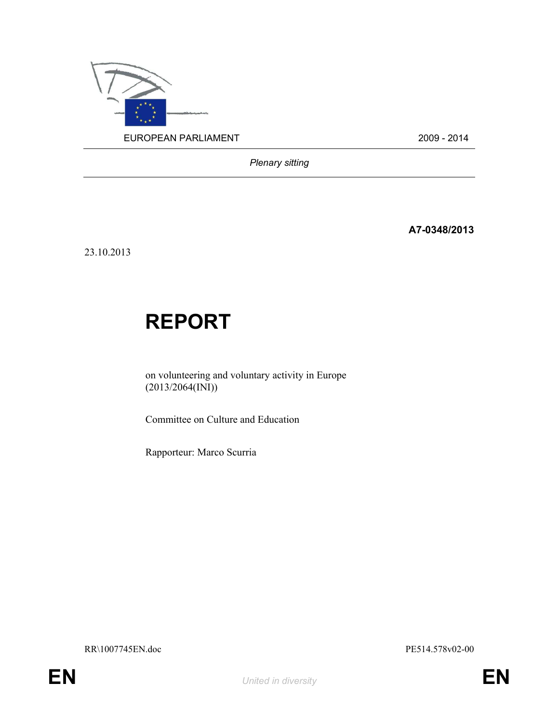

Plenary sitting

A7-0348/2013

23.10.2013

# REPORT

on volunteering and voluntary activity in Europe (2013/2064(INI))

Committee on Culture and Education

Rapporteur: Marco Scurria

RR\1007745EN.doc PE514.578v02-00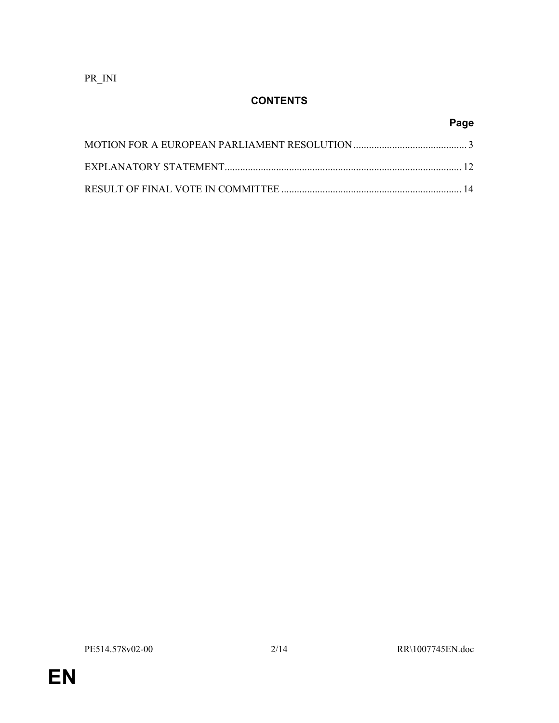PR\_INI

## **CONTENTS**

| Page |
|------|
|      |
|      |
|      |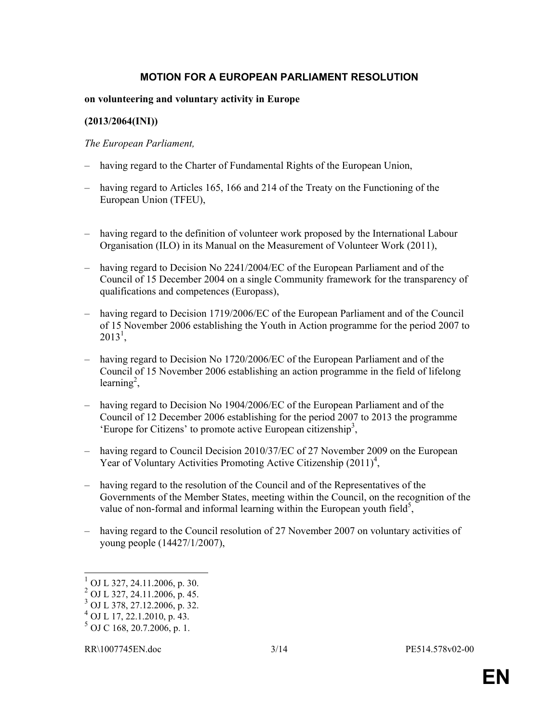#### MOTION FOR A EUROPEAN PARLIAMENT RESOLUTION

#### on volunteering and voluntary activity in Europe

#### (2013/2064(INI))

#### The European Parliament,

- having regard to the Charter of Fundamental Rights of the European Union,
- having regard to Articles 165, 166 and 214 of the Treaty on the Functioning of the European Union (TFEU),
- having regard to the definition of volunteer work proposed by the International Labour Organisation (ILO) in its Manual on the Measurement of Volunteer Work (2011),
- having regard to Decision No 2241/2004/EC of the European Parliament and of the Council of 15 December 2004 on a single Community framework for the transparency of qualifications and competences (Europass),
- having regard to Decision 1719/2006/EC of the European Parliament and of the Council of 15 November 2006 establishing the Youth in Action programme for the period 2007 to  $2013^1,$
- having regard to Decision No 1720/2006/EC of the European Parliament and of the Council of 15 November 2006 establishing an action programme in the field of lifelong learning<sup>2</sup>,
- having regard to Decision No 1904/2006/EC of the European Parliament and of the Council of 12 December 2006 establishing for the period 2007 to 2013 the programme 'Europe for Citizens' to promote active European citizenship<sup>3</sup>,
- having regard to Council Decision 2010/37/EC of 27 November 2009 on the European Year of Voluntary Activities Promoting Active Citizenship  $(2011)^4$ ,
- having regard to the resolution of the Council and of the Representatives of the Governments of the Member States, meeting within the Council, on the recognition of the value of non-formal and informal learning within the European youth field<sup>5</sup>,
- having regard to the Council resolution of 27 November 2007 on voluntary activities of young people (14427/1/2007),

 $\overline{a}$  $1$  OJ L 327, 24.11.2006, p. 30.

<sup>2</sup> OJ L 327, 24.11.2006, p. 45.

 $3$  OJ L 378, 27.12.2006, p. 32.

 $^{4}$  OJ L 17, 22.1.2010, p. 43.

 $<sup>5</sup>$  OJ C 168, 20.7.2006, p. 1.</sup>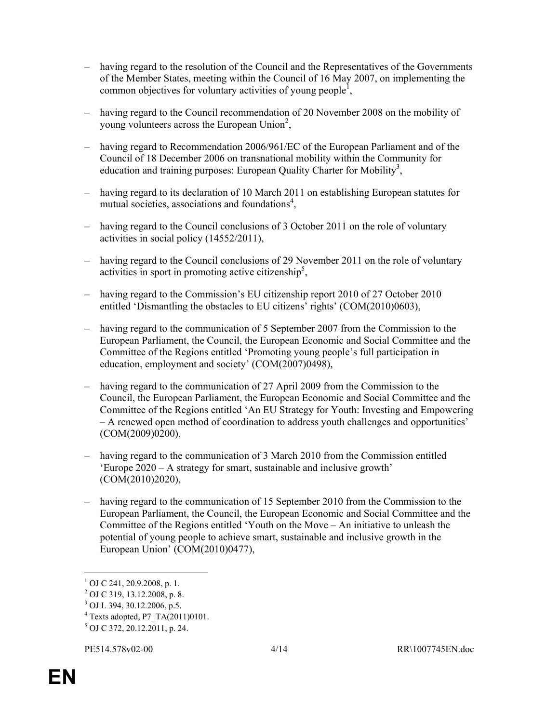- having regard to the resolution of the Council and the Representatives of the Governments of the Member States, meeting within the Council of 16 May 2007, on implementing the common objectives for voluntary activities of young people<sup>1</sup>,
- having regard to the Council recommendation of 20 November 2008 on the mobility of young volunteers across the European Union<sup>2</sup>,
- having regard to Recommendation 2006/961/EC of the European Parliament and of the Council of 18 December 2006 on transnational mobility within the Community for education and training purposes: European Quality Charter for Mobility<sup>3</sup>,
- having regard to its declaration of 10 March 2011 on establishing European statutes for mutual societies, associations and foundations<sup>4</sup>,
- having regard to the Council conclusions of 3 October 2011 on the role of voluntary activities in social policy (14552/2011),
- having regard to the Council conclusions of 29 November 2011 on the role of voluntary activities in sport in promoting active citizenship<sup>5</sup>,
- having regard to the Commission's EU citizenship report 2010 of 27 October 2010 entitled 'Dismantling the obstacles to EU citizens' rights' (COM(2010)0603),
- having regard to the communication of 5 September 2007 from the Commission to the European Parliament, the Council, the European Economic and Social Committee and the Committee of the Regions entitled 'Promoting young people's full participation in education, employment and society' (COM(2007)0498),
- having regard to the communication of 27 April 2009 from the Commission to the Council, the European Parliament, the European Economic and Social Committee and the Committee of the Regions entitled 'An EU Strategy for Youth: Investing and Empowering – A renewed open method of coordination to address youth challenges and opportunities' (COM(2009)0200),
- having regard to the communication of 3 March 2010 from the Commission entitled 'Europe 2020 – A strategy for smart, sustainable and inclusive growth' (COM(2010)2020),
- having regard to the communication of 15 September 2010 from the Commission to the European Parliament, the Council, the European Economic and Social Committee and the Committee of the Regions entitled 'Youth on the Move – An initiative to unleash the potential of young people to achieve smart, sustainable and inclusive growth in the European Union' (COM(2010)0477),

 1 OJ C 241, 20.9.2008, p. 1.

<sup>2</sup> OJ C 319, 13.12.2008, p. 8.

<sup>3</sup> OJ L 394, 30.12.2006, p.5.

<sup>4</sup> Texts adopted, P7\_TA(2011)0101.

<sup>5</sup> OJ C 372, 20.12.2011, p. 24.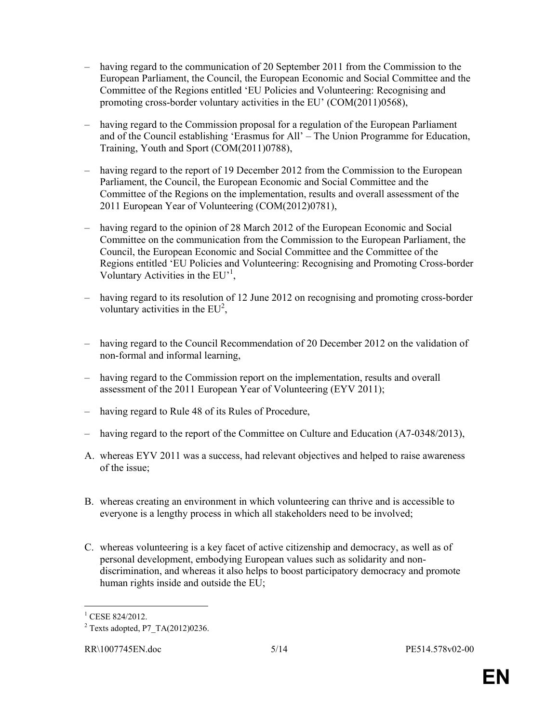- having regard to the communication of 20 September 2011 from the Commission to the European Parliament, the Council, the European Economic and Social Committee and the Committee of the Regions entitled 'EU Policies and Volunteering: Recognising and promoting cross-border voluntary activities in the EU' (COM(2011)0568),
- having regard to the Commission proposal for a regulation of the European Parliament and of the Council establishing 'Erasmus for All' – The Union Programme for Education, Training, Youth and Sport (COM(2011)0788),
- having regard to the report of 19 December 2012 from the Commission to the European Parliament, the Council, the European Economic and Social Committee and the Committee of the Regions on the implementation, results and overall assessment of the 2011 European Year of Volunteering (COM(2012)0781),
- having regard to the opinion of 28 March 2012 of the European Economic and Social Committee on the communication from the Commission to the European Parliament, the Council, the European Economic and Social Committee and the Committee of the Regions entitled 'EU Policies and Volunteering: Recognising and Promoting Cross-border Voluntary Activities in the EU<sup>-1</sup>,
- having regard to its resolution of 12 June 2012 on recognising and promoting cross-border voluntary activities in the  $EU^2$ ,
- having regard to the Council Recommendation of 20 December 2012 on the validation of non-formal and informal learning,
- having regard to the Commission report on the implementation, results and overall assessment of the 2011 European Year of Volunteering (EYV 2011);
- having regard to Rule 48 of its Rules of Procedure,
- having regard to the report of the Committee on Culture and Education (A7-0348/2013),
- A. whereas EYV 2011 was a success, had relevant objectives and helped to raise awareness of the issue;
- B. whereas creating an environment in which volunteering can thrive and is accessible to everyone is a lengthy process in which all stakeholders need to be involved;
- C. whereas volunteering is a key facet of active citizenship and democracy, as well as of personal development, embodying European values such as solidarity and nondiscrimination, and whereas it also helps to boost participatory democracy and promote human rights inside and outside the EU;

 $\overline{a}$ 

<sup>&</sup>lt;sup>1</sup> CESE 824/2012.

 $2$  Texts adopted, P7\_TA(2012)0236.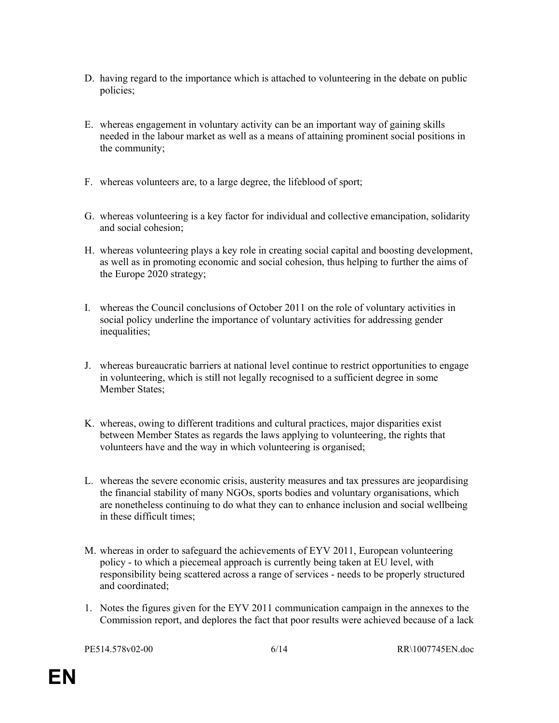- D. having regard to the importance which is attached to volunteering in the debate on public policies;
- E. whereas engagement in voluntary activity can be an important way of gaining skills needed in the labour market as well as a means of attaining prominent social positions in the community;
- F. whereas volunteers are, to a large degree, the lifeblood of sport;
- G. whereas volunteering is a key factor for individual and collective emancipation, solidarity and social cohesion;
- H. whereas volunteering plays a key role in creating social capital and boosting development, as well as in promoting economic and social cohesion, thus helping to further the aims of the Europe 2020 strategy;
- I. whereas the Council conclusions of October 2011 on the role of voluntary activities in social policy underline the importance of voluntary activities for addressing gender inequalities;
- J. whereas bureaucratic barriers at national level continue to restrict opportunities to engage in volunteering, which is still not legally recognised to a sufficient degree in some Member States;
- K. whereas, owing to different traditions and cultural practices, major disparities exist between Member States as regards the laws applying to volunteering, the rights that volunteers have and the way in which volunteering is organised;
- L. whereas the severe economic crisis, austerity measures and tax pressures are jeopardising the financial stability of many NGOs, sports bodies and voluntary organisations, which are nonetheless continuing to do what they can to enhance inclusion and social wellbeing in these difficult times;
- M. whereas in order to safeguard the achievements of EYV 2011, European volunteering policy - to which a piecemeal approach is currently being taken at EU level, with responsibility being scattered across a range of services - needs to be properly structured and coordinated;
- 1. Notes the figures given for the EYV 2011 communication campaign in the annexes to the Commission report, and deplores the fact that poor results were achieved because of a lack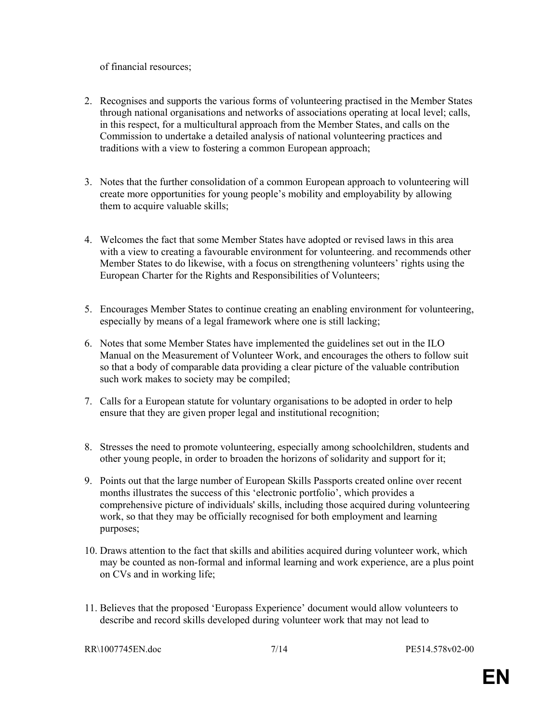of financial resources;

- 2. Recognises and supports the various forms of volunteering practised in the Member States through national organisations and networks of associations operating at local level; calls, in this respect, for a multicultural approach from the Member States, and calls on the Commission to undertake a detailed analysis of national volunteering practices and traditions with a view to fostering a common European approach;
- 3. Notes that the further consolidation of a common European approach to volunteering will create more opportunities for young people's mobility and employability by allowing them to acquire valuable skills;
- 4. Welcomes the fact that some Member States have adopted or revised laws in this area with a view to creating a favourable environment for volunteering. and recommends other Member States to do likewise, with a focus on strengthening volunteers' rights using the European Charter for the Rights and Responsibilities of Volunteers;
- 5. Encourages Member States to continue creating an enabling environment for volunteering, especially by means of a legal framework where one is still lacking;
- 6. Notes that some Member States have implemented the guidelines set out in the ILO Manual on the Measurement of Volunteer Work, and encourages the others to follow suit so that a body of comparable data providing a clear picture of the valuable contribution such work makes to society may be compiled;
- 7. Calls for a European statute for voluntary organisations to be adopted in order to help ensure that they are given proper legal and institutional recognition;
- 8. Stresses the need to promote volunteering, especially among schoolchildren, students and other young people, in order to broaden the horizons of solidarity and support for it;
- 9. Points out that the large number of European Skills Passports created online over recent months illustrates the success of this 'electronic portfolio', which provides a comprehensive picture of individuals' skills, including those acquired during volunteering work, so that they may be officially recognised for both employment and learning purposes;
- 10. Draws attention to the fact that skills and abilities acquired during volunteer work, which may be counted as non-formal and informal learning and work experience, are a plus point on CVs and in working life;
- 11. Believes that the proposed 'Europass Experience' document would allow volunteers to describe and record skills developed during volunteer work that may not lead to

RR\1007745EN.doc 7/14 PE514.578v02-00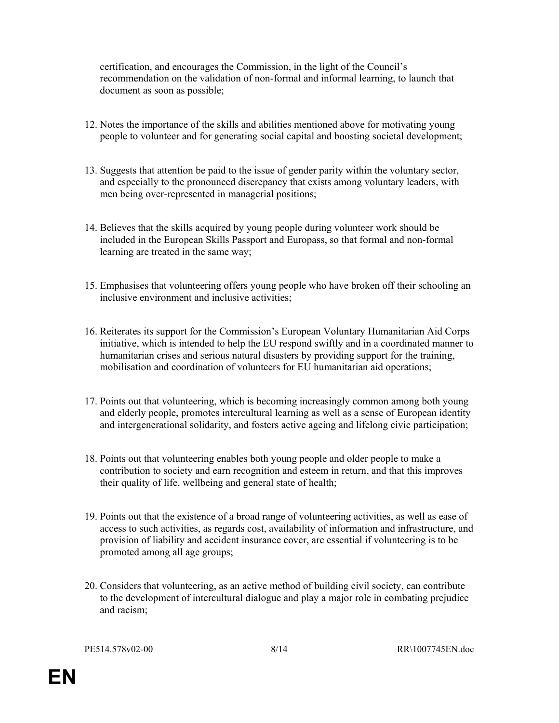certification, and encourages the Commission, in the light of the Council's recommendation on the validation of non-formal and informal learning, to launch that document as soon as possible;

- 12. Notes the importance of the skills and abilities mentioned above for motivating young people to volunteer and for generating social capital and boosting societal development;
- 13. Suggests that attention be paid to the issue of gender parity within the voluntary sector, and especially to the pronounced discrepancy that exists among voluntary leaders, with men being over-represented in managerial positions;
- 14. Believes that the skills acquired by young people during volunteer work should be included in the European Skills Passport and Europass, so that formal and non-formal learning are treated in the same way;
- 15. Emphasises that volunteering offers young people who have broken off their schooling an inclusive environment and inclusive activities;
- 16. Reiterates its support for the Commission's European Voluntary Humanitarian Aid Corps initiative, which is intended to help the EU respond swiftly and in a coordinated manner to humanitarian crises and serious natural disasters by providing support for the training, mobilisation and coordination of volunteers for EU humanitarian aid operations;
- 17. Points out that volunteering, which is becoming increasingly common among both young and elderly people, promotes intercultural learning as well as a sense of European identity and intergenerational solidarity, and fosters active ageing and lifelong civic participation;
- 18. Points out that volunteering enables both young people and older people to make a contribution to society and earn recognition and esteem in return, and that this improves their quality of life, wellbeing and general state of health;
- 19. Points out that the existence of a broad range of volunteering activities, as well as ease of access to such activities, as regards cost, availability of information and infrastructure, and provision of liability and accident insurance cover, are essential if volunteering is to be promoted among all age groups;
- 20. Considers that volunteering, as an active method of building civil society, can contribute to the development of intercultural dialogue and play a major role in combating prejudice and racism;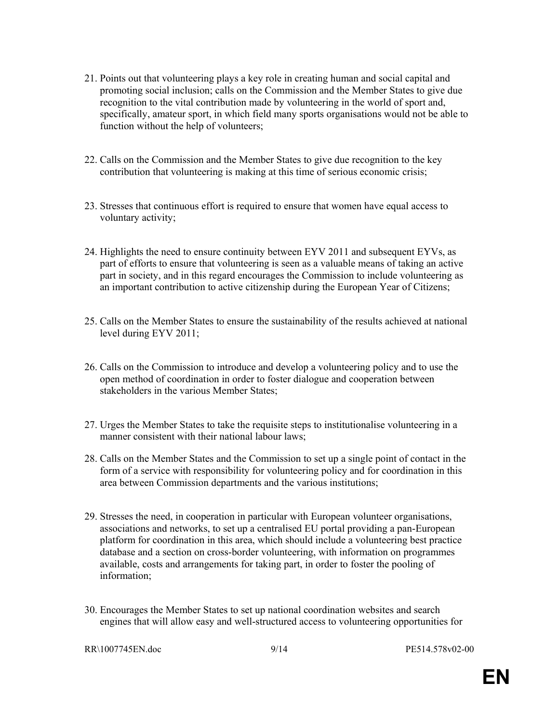- 21. Points out that volunteering plays a key role in creating human and social capital and promoting social inclusion; calls on the Commission and the Member States to give due recognition to the vital contribution made by volunteering in the world of sport and, specifically, amateur sport, in which field many sports organisations would not be able to function without the help of volunteers;
- 22. Calls on the Commission and the Member States to give due recognition to the key contribution that volunteering is making at this time of serious economic crisis;
- 23. Stresses that continuous effort is required to ensure that women have equal access to voluntary activity;
- 24. Highlights the need to ensure continuity between EYV 2011 and subsequent EYVs, as part of efforts to ensure that volunteering is seen as a valuable means of taking an active part in society, and in this regard encourages the Commission to include volunteering as an important contribution to active citizenship during the European Year of Citizens;
- 25. Calls on the Member States to ensure the sustainability of the results achieved at national level during EYV 2011;
- 26. Calls on the Commission to introduce and develop a volunteering policy and to use the open method of coordination in order to foster dialogue and cooperation between stakeholders in the various Member States;
- 27. Urges the Member States to take the requisite steps to institutionalise volunteering in a manner consistent with their national labour laws;
- 28. Calls on the Member States and the Commission to set up a single point of contact in the form of a service with responsibility for volunteering policy and for coordination in this area between Commission departments and the various institutions;
- 29. Stresses the need, in cooperation in particular with European volunteer organisations, associations and networks, to set up a centralised EU portal providing a pan-European platform for coordination in this area, which should include a volunteering best practice database and a section on cross-border volunteering, with information on programmes available, costs and arrangements for taking part, in order to foster the pooling of information;
- 30. Encourages the Member States to set up national coordination websites and search engines that will allow easy and well-structured access to volunteering opportunities for

RR\1007745EN.doc 9/14 PE514.578v02-00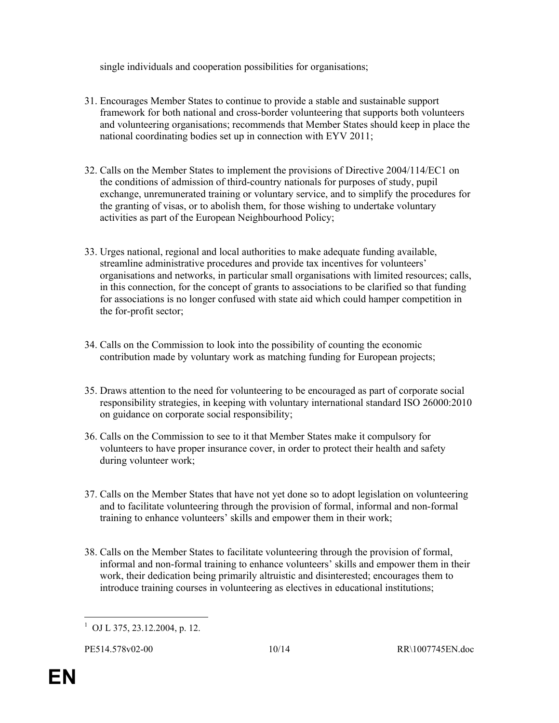single individuals and cooperation possibilities for organisations;

- 31. Encourages Member States to continue to provide a stable and sustainable support framework for both national and cross-border volunteering that supports both volunteers and volunteering organisations; recommends that Member States should keep in place the national coordinating bodies set up in connection with EYV 2011;
- 32. Calls on the Member States to implement the provisions of Directive 2004/114/EC1 on the conditions of admission of third-country nationals for purposes of study, pupil exchange, unremunerated training or voluntary service, and to simplify the procedures for the granting of visas, or to abolish them, for those wishing to undertake voluntary activities as part of the European Neighbourhood Policy;
- 33. Urges national, regional and local authorities to make adequate funding available, streamline administrative procedures and provide tax incentives for volunteers' organisations and networks, in particular small organisations with limited resources; calls, in this connection, for the concept of grants to associations to be clarified so that funding for associations is no longer confused with state aid which could hamper competition in the for-profit sector;
- 34. Calls on the Commission to look into the possibility of counting the economic contribution made by voluntary work as matching funding for European projects;
- 35. Draws attention to the need for volunteering to be encouraged as part of corporate social responsibility strategies, in keeping with voluntary international standard ISO 26000:2010 on guidance on corporate social responsibility;
- 36. Calls on the Commission to see to it that Member States make it compulsory for volunteers to have proper insurance cover, in order to protect their health and safety during volunteer work;
- 37. Calls on the Member States that have not yet done so to adopt legislation on volunteering and to facilitate volunteering through the provision of formal, informal and non-formal training to enhance volunteers' skills and empower them in their work;
- 38. Calls on the Member States to facilitate volunteering through the provision of formal, informal and non-formal training to enhance volunteers' skills and empower them in their work, their dedication being primarily altruistic and disinterested; encourages them to introduce training courses in volunteering as electives in educational institutions;

 $\ddot{\phantom{a}}$ 1 OJ L 375, 23.12.2004, p. 12.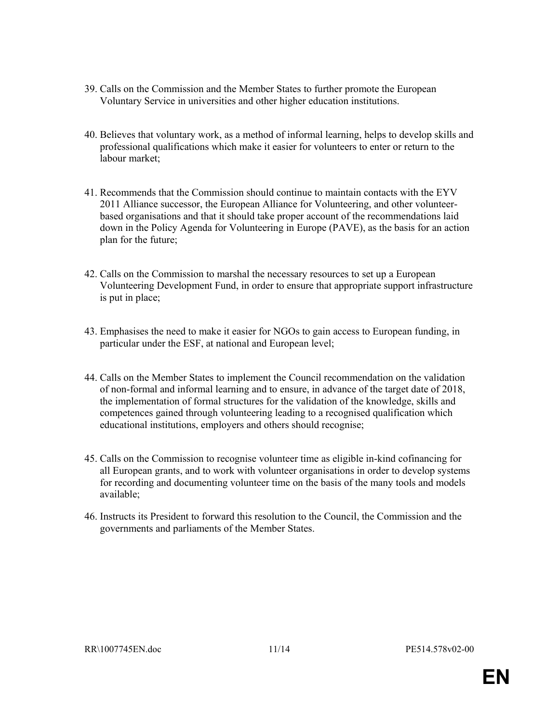- 39. Calls on the Commission and the Member States to further promote the European Voluntary Service in universities and other higher education institutions.
- 40. Believes that voluntary work, as a method of informal learning, helps to develop skills and professional qualifications which make it easier for volunteers to enter or return to the labour market;
- 41. Recommends that the Commission should continue to maintain contacts with the EYV 2011 Alliance successor, the European Alliance for Volunteering, and other volunteerbased organisations and that it should take proper account of the recommendations laid down in the Policy Agenda for Volunteering in Europe (PAVE), as the basis for an action plan for the future;
- 42. Calls on the Commission to marshal the necessary resources to set up a European Volunteering Development Fund, in order to ensure that appropriate support infrastructure is put in place;
- 43. Emphasises the need to make it easier for NGOs to gain access to European funding, in particular under the ESF, at national and European level;
- 44. Calls on the Member States to implement the Council recommendation on the validation of non-formal and informal learning and to ensure, in advance of the target date of 2018, the implementation of formal structures for the validation of the knowledge, skills and competences gained through volunteering leading to a recognised qualification which educational institutions, employers and others should recognise;
- 45. Calls on the Commission to recognise volunteer time as eligible in-kind cofinancing for all European grants, and to work with volunteer organisations in order to develop systems for recording and documenting volunteer time on the basis of the many tools and models available;
- 46. Instructs its President to forward this resolution to the Council, the Commission and the governments and parliaments of the Member States.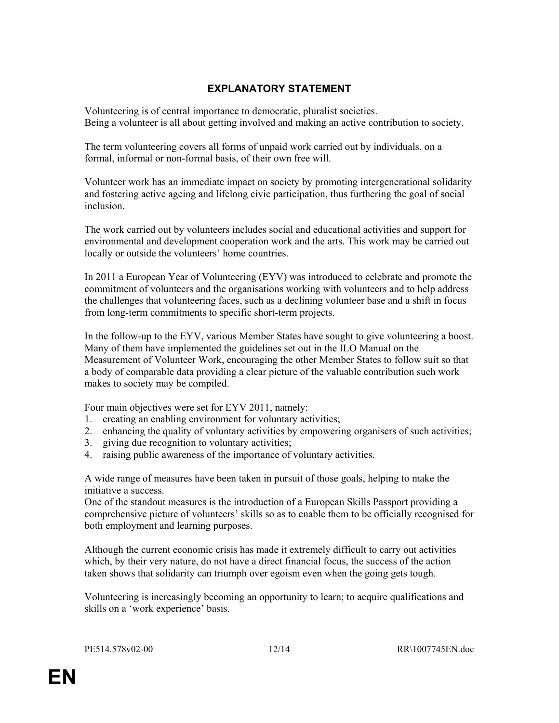### EXPLANATORY STATEMENT

Volunteering is of central importance to democratic, pluralist societies. Being a volunteer is all about getting involved and making an active contribution to society.

The term volunteering covers all forms of unpaid work carried out by individuals, on a formal, informal or non-formal basis, of their own free will.

Volunteer work has an immediate impact on society by promoting intergenerational solidarity and fostering active ageing and lifelong civic participation, thus furthering the goal of social inclusion.

The work carried out by volunteers includes social and educational activities and support for environmental and development cooperation work and the arts. This work may be carried out locally or outside the volunteers' home countries.

In 2011 a European Year of Volunteering (EYV) was introduced to celebrate and promote the commitment of volunteers and the organisations working with volunteers and to help address the challenges that volunteering faces, such as a declining volunteer base and a shift in focus from long-term commitments to specific short-term projects.

In the follow-up to the EYV, various Member States have sought to give volunteering a boost. Many of them have implemented the guidelines set out in the ILO Manual on the Measurement of Volunteer Work, encouraging the other Member States to follow suit so that a body of comparable data providing a clear picture of the valuable contribution such work makes to society may be compiled.

Four main objectives were set for EYV 2011, namely:

- 1. creating an enabling environment for voluntary activities;
- 2. enhancing the quality of voluntary activities by empowering organisers of such activities;
- 3. giving due recognition to voluntary activities;
- 4. raising public awareness of the importance of voluntary activities.

A wide range of measures have been taken in pursuit of those goals, helping to make the initiative a success.

One of the standout measures is the introduction of a European Skills Passport providing a comprehensive picture of volunteers' skills so as to enable them to be officially recognised for both employment and learning purposes.

Although the current economic crisis has made it extremely difficult to carry out activities which, by their very nature, do not have a direct financial focus, the success of the action taken shows that solidarity can triumph over egoism even when the going gets tough.

Volunteering is increasingly becoming an opportunity to learn; to acquire qualifications and skills on a 'work experience' basis.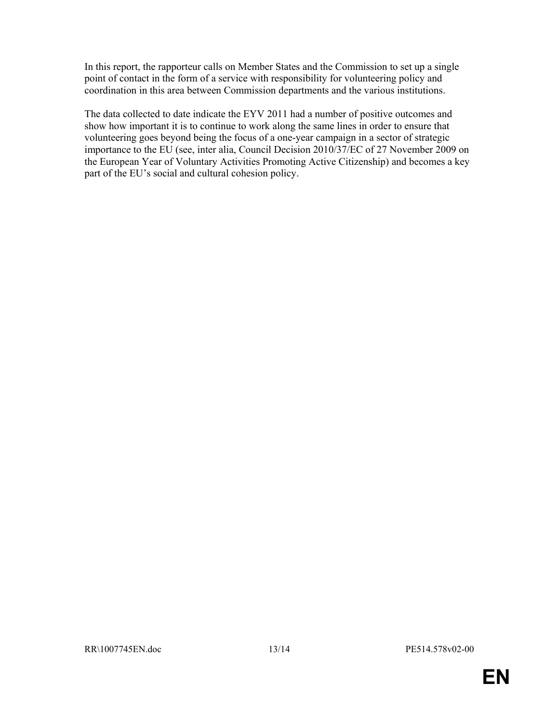In this report, the rapporteur calls on Member States and the Commission to set up a single point of contact in the form of a service with responsibility for volunteering policy and coordination in this area between Commission departments and the various institutions.

The data collected to date indicate the EYV 2011 had a number of positive outcomes and show how important it is to continue to work along the same lines in order to ensure that volunteering goes beyond being the focus of a one-year campaign in a sector of strategic importance to the EU (see, inter alia, Council Decision 2010/37/EC of 27 November 2009 on the European Year of Voluntary Activities Promoting Active Citizenship) and becomes a key part of the EU's social and cultural cohesion policy.